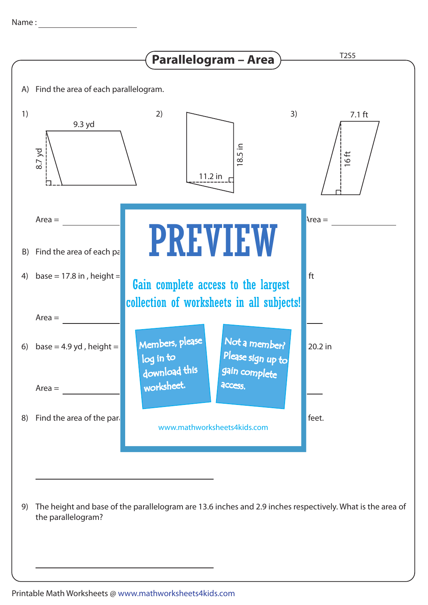

The height and base of the parallelogram are 13.6 inches and 2.9 inches respectively. What is the area of 9) the parallelogram?